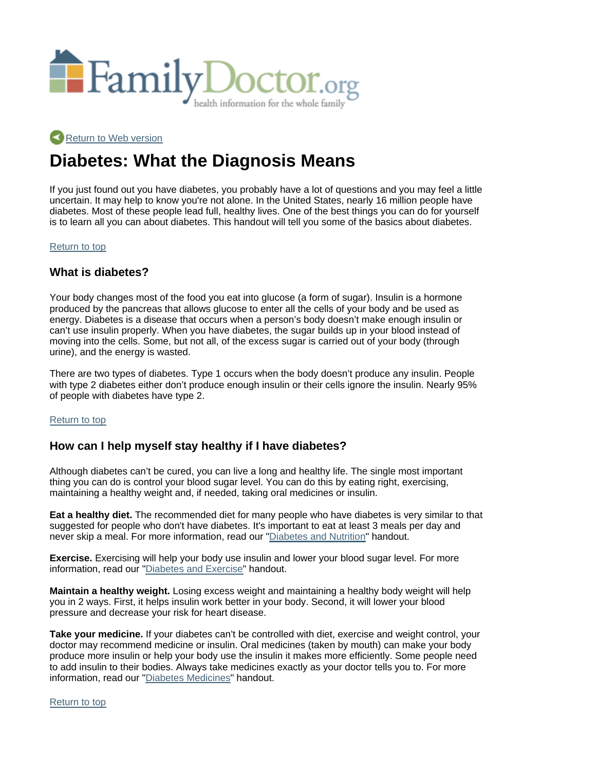

## Return to Web version

# **Diabetes: What the Diagnosis Means**

If you just found out you have diabetes, you probably have a lot of questions and you may feel a little uncertain. It may help to know you're not alone. In the United States, nearly 16 million people have diabetes. Most of these people lead full, healthy lives. One of the best things you can do for yourself is to learn all you can about diabetes. This handout will tell you some of the basics about diabetes.

#### Return to top

## **What is diabetes?**

Your body changes most of the food you eat into glucose (a form of sugar). Insulin is a hormone produced by the pancreas that allows glucose to enter all the cells of your body and be used as energy. Diabetes is a disease that occurs when a person's body doesn't make enough insulin or can't use insulin properly. When you have diabetes, the sugar builds up in your blood instead of moving into the cells. Some, but not all, of the excess sugar is carried out of your body (through urine), and the energy is wasted.

There are two types of diabetes. Type 1 occurs when the body doesn't produce any insulin. People with type 2 diabetes either don't produce enough insulin or their cells ignore the insulin. Nearly 95% of people with diabetes have type 2.

#### Return to top

## **How can I help myself stay healthy if I have diabetes?**

Although diabetes can't be cured, you can live a long and healthy life. The single most important thing you can do is control your blood sugar level. You can do this by eating right, exercising, maintaining a healthy weight and, if needed, taking oral medicines or insulin.

**Eat a healthy diet.** The recommended diet for many people who have diabetes is very similar to that suggested for people who don't have diabetes. It's important to eat at least 3 meals per day and never skip a meal. For more information, read our "Diabetes and Nutrition" handout.

**Exercise.** Exercising will help your body use insulin and lower your blood sugar level. For more information, read our "Diabetes and Exercise" handout.

**Maintain a healthy weight.** Losing excess weight and maintaining a healthy body weight will help you in 2 ways. First, it helps insulin work better in your body. Second, it will lower your blood pressure and decrease your risk for heart disease.

**Take your medicine.** If your diabetes can't be controlled with diet, exercise and weight control, your doctor may recommend medicine or insulin. Oral medicines (taken by mouth) can make your body produce more insulin or help your body use the insulin it makes more efficiently. Some people need to add insulin to their bodies. Always take medicines exactly as your doctor tells you to. For more information, read our "Diabetes Medicines" handout.

Return to top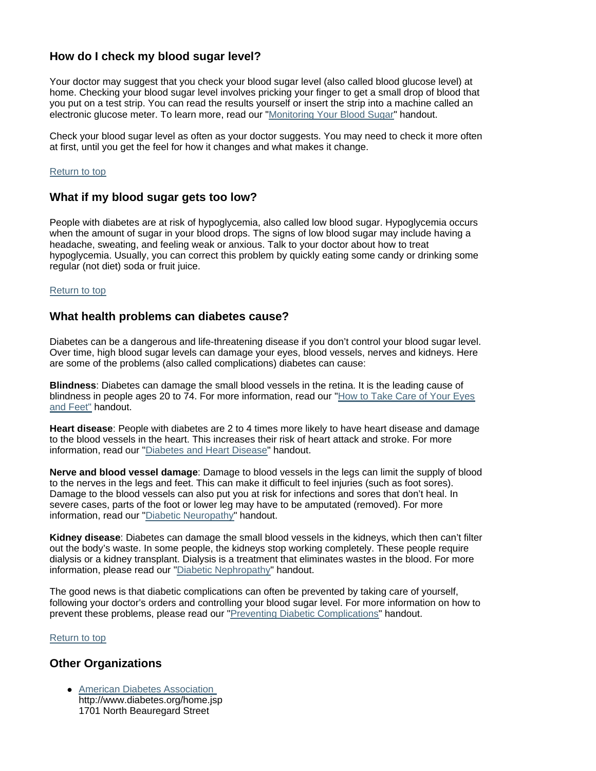## **How do I check my blood sugar level?**

Your doctor may suggest that you check your blood sugar level (also called blood glucose level) at home. Checking your blood sugar level involves pricking your finger to get a small drop of blood that you put on a test strip. You can read the results yourself or insert the strip into a machine called an electronic glucose meter. To learn more, read our "Monitoring Your Blood Sugar" handout.

Check your blood sugar level as often as your doctor suggests. You may need to check it more often at first, until you get the feel for how it changes and what makes it change.

#### Return to top

## **What if my blood sugar gets too low?**

People with diabetes are at risk of hypoglycemia, also called low blood sugar. Hypoglycemia occurs when the amount of sugar in your blood drops. The signs of low blood sugar may include having a headache, sweating, and feeling weak or anxious. Talk to your doctor about how to treat hypoglycemia. Usually, you can correct this problem by quickly eating some candy or drinking some regular (not diet) soda or fruit juice.

#### Return to top

## **What health problems can diabetes cause?**

Diabetes can be a dangerous and life-threatening disease if you don't control your blood sugar level. Over time, high blood sugar levels can damage your eyes, blood vessels, nerves and kidneys. Here are some of the problems (also called complications) diabetes can cause:

**Blindness**: Diabetes can damage the small blood vessels in the retina. It is the leading cause of blindness in people ages 20 to 74. For more information, read our "How to Take Care of Your Eyes and Feet" handout.

**Heart disease**: People with diabetes are 2 to 4 times more likely to have heart disease and damage to the blood vessels in the heart. This increases their risk of heart attack and stroke. For more information, read our "Diabetes and Heart Disease" handout.

**Nerve and blood vessel damage**: Damage to blood vessels in the legs can limit the supply of blood to the nerves in the legs and feet. This can make it difficult to feel injuries (such as foot sores). Damage to the blood vessels can also put you at risk for infections and sores that don't heal. In severe cases, parts of the foot or lower leg may have to be amputated (removed). For more information, read our "Diabetic Neuropathy" handout.

**Kidney disease**: Diabetes can damage the small blood vessels in the kidneys, which then can't filter out the body's waste. In some people, the kidneys stop working completely. These people require dialysis or a kidney transplant. Dialysis is a treatment that eliminates wastes in the blood. For more information, please read our "Diabetic Nephropathy" handout.

The good news is that diabetic complications can often be prevented by taking care of yourself, following your doctor's orders and controlling your blood sugar level. For more information on how to prevent these problems, please read our "Preventing Diabetic Complications" handout.

#### Return to top

## **Other Organizations**

• American Diabetes Association http://www.diabetes.org/home.jsp 1701 North Beauregard Street